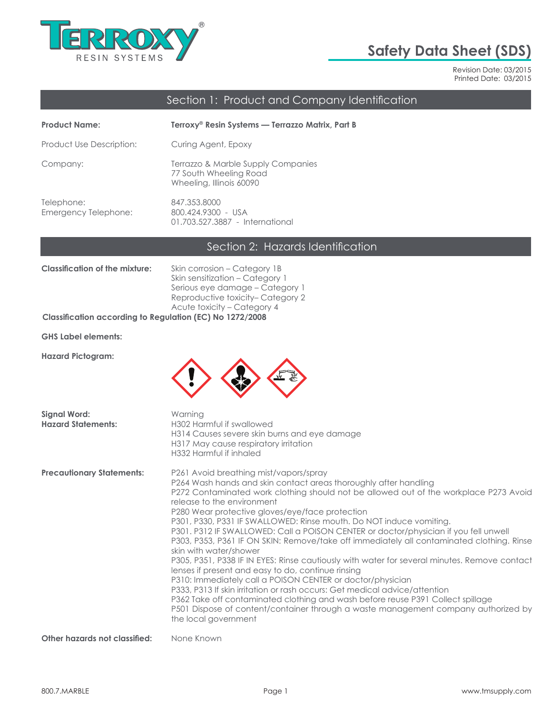

# **Safety Data Sheet (SDS)**

Revision Date: 03/2015 Printed Date: 03/2015

## Section 1: Product and Company Identification

| <b>Product Name:</b>                      | Terroxy® Resin Systems — Terrazzo Matrix, Part B                                         |
|-------------------------------------------|------------------------------------------------------------------------------------------|
| Product Use Description:                  | Curing Agent, Epoxy                                                                      |
| Company:                                  | Terrazzo & Marble Supply Companies<br>77 South Wheeling Road<br>Wheeling, Illinois 60090 |
| Telephone:<br><b>Emergency Telephone:</b> | 847.353.8000<br>800.424.9300 - USA<br>01.703.527.3887 - International                    |

### Section 2: Hazards Identification

| <b>Classification of the mixture:</b>                           | Skin corrosion – Category 1B     |
|-----------------------------------------------------------------|----------------------------------|
|                                                                 | Skin sensitization – Category 1  |
|                                                                 | Serious eye damage - Category 1  |
|                                                                 | Reproductive toxicity-Category 2 |
|                                                                 | Acute toxicity - Category 4      |
| <b>Classification according to Regulation (EC) No 1272/2008</b> |                                  |

**GHS Label elements:**

**Hazard Pictogram:**



| <b>Signal Word:</b><br><b>Hazard Statements:</b> | Warning<br>H302 Harmful if swallowed<br>H314 Causes severe skin burns and eye damage<br>H317 May cause respiratory irritation<br>H332 Harmful if inhaled                                                                                                                                                                                                                                                                                                                                                                                                                                                                                                                                                                                                                                                                                                                                                                                                                                                                                                                      |
|--------------------------------------------------|-------------------------------------------------------------------------------------------------------------------------------------------------------------------------------------------------------------------------------------------------------------------------------------------------------------------------------------------------------------------------------------------------------------------------------------------------------------------------------------------------------------------------------------------------------------------------------------------------------------------------------------------------------------------------------------------------------------------------------------------------------------------------------------------------------------------------------------------------------------------------------------------------------------------------------------------------------------------------------------------------------------------------------------------------------------------------------|
| <b>Precautionary Statements:</b>                 | P261 Avoid breathing mist/vapors/spray<br>P264 Wash hands and skin contact areas thoroughly after handling<br>P272 Contaminated work clothing should not be allowed out of the workplace P273 Avoid<br>release to the environment<br>P280 Wear protective gloves/eye/face protection<br>P301, P330, P331 IF SWALLOWED: Rinse mouth. Do NOT induce vomiting.<br>P301. P312 IF SWALLOWED: Call a POISON CENTER or doctor/physician if you fell unwell<br>P303, P353, P361 IF ON SKIN: Remove/take off immediately all contaminated clothing. Rinse<br>skin with water/shower<br>P305, P351, P338 IF IN EYES: Rinse cautiously with water for several minutes. Remove contact<br>lenses if present and easy to do, continue rinsing<br>P310: Immediately call a POISON CENTER or doctor/physician<br>P333, P313 If skin irritation or rash occurs: Get medical advice/attention<br>P362 Take off contaminated clothing and wash before reuse P391 Collect spillage<br>P501 Dispose of content/container through a waste management company authorized by<br>the local government |
| Other hazards not classified:                    | None Known                                                                                                                                                                                                                                                                                                                                                                                                                                                                                                                                                                                                                                                                                                                                                                                                                                                                                                                                                                                                                                                                    |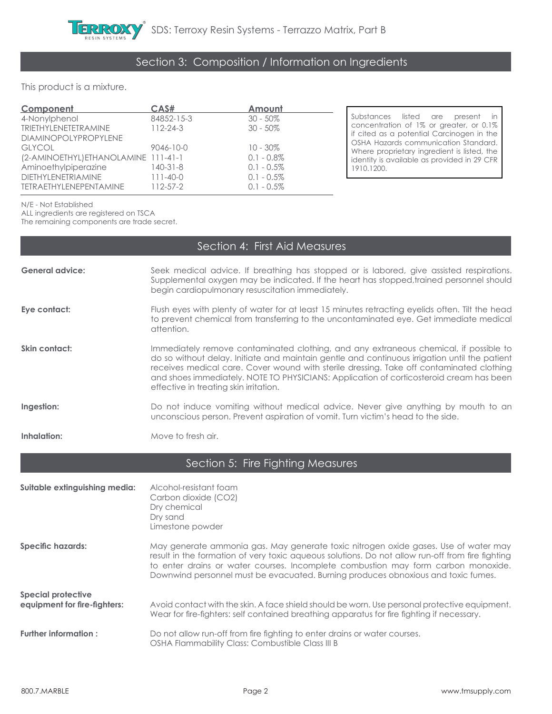

#### This product is a mixture.

| Component                            | CAS#            | Amount        |
|--------------------------------------|-----------------|---------------|
| 4-Nonylphenol                        | 84852-15-3      | $30 - 50\%$   |
| <b>TRIETHYLENETETRAMINE</b>          | $112 - 24 - 3$  | $30 - 50\%$   |
| <b>DIAMINOPOLYPROPYLENE</b>          |                 |               |
| <b>GLYCOL</b>                        | $9046 - 10 - 0$ | $10 - 30\%$   |
| (2-AMINOETHYL) ETHANOLAMINE 111-41-1 |                 | $0.1 - 0.8\%$ |
| Aminoethylpiperazine                 | $140 - 31 - 8$  | $0.1 - 0.5\%$ |
| <b>DIETHYLENETRIAMINE</b>            | $111 - 40 - 0$  | $0.1 - 0.5\%$ |
| <b>TETRAETHYLENEPENTAMINE</b>        | $112 - 57 - 2$  | $0.1 - 0.5\%$ |

Substances listed are present in concentration of 1% or greater, or 0.1% if cited as a potential Carcinogen in the OSHA Hazards communication Standard. Where proprietary ingredient is listed, the identity is available as provided in 29 CFR 1910.1200.

N/E - Not Established

ALL ingredients are registered on TSCA

The remaining components are trade secret.

|                                                           | Section 4: First Aid Measures                                                                                                                                                                                                                                                                                                                                                                                           |
|-----------------------------------------------------------|-------------------------------------------------------------------------------------------------------------------------------------------------------------------------------------------------------------------------------------------------------------------------------------------------------------------------------------------------------------------------------------------------------------------------|
| <b>General advice:</b>                                    | Seek medical advice. If breathing has stopped or is labored, give assisted respirations.<br>Supplemental oxygen may be indicated. If the heart has stopped, trained personnel should<br>begin cardiopulmonary resuscitation immediately.                                                                                                                                                                                |
| Eye contact:                                              | Flush eyes with plenty of water for at least 15 minutes retracting eyelids often. Tilt the head<br>to prevent chemical from transferring to the uncontaminated eye. Get immediate medical<br>attention.                                                                                                                                                                                                                 |
| Skin contact:                                             | Immediately remove contaminated clothing, and any extraneous chemical, if possible to<br>do so without delay. Initiate and maintain gentle and continuous irrigation until the patient<br>receives medical care. Cover wound with sterile dressing. Take off contaminated clothing<br>and shoes immediately. NOTE TO PHYSICIANS: Application of corticosteroid cream has been<br>effective in treating skin irritation. |
| Ingestion:                                                | Do not induce vomiting without medical advice. Never give anything by mouth to an<br>unconscious person. Prevent aspiration of vomit. Turn victim's head to the side.                                                                                                                                                                                                                                                   |
| Inhalation:                                               | Move to fresh air.                                                                                                                                                                                                                                                                                                                                                                                                      |
|                                                           | Section 5: Fire Fighting Measures                                                                                                                                                                                                                                                                                                                                                                                       |
| Suitable extinguishing media:                             | Alcohol-resistant foam<br>Carbon dioxide (CO2)<br>Dry chemical<br>Dry sand<br>Limestone powder                                                                                                                                                                                                                                                                                                                          |
| <b>Specific hazards:</b>                                  | May generate ammonia gas. May generate toxic nitrogen oxide gases. Use of water may<br>result in the formation of very toxic aqueous solutions. Do not allow run-off from fire fighting<br>to enter drains or water courses. Incomplete combustion may form carbon monoxide.<br>Downwind personnel must be evacuated. Burning produces obnoxious and toxic fumes.                                                       |
| <b>Special protective</b><br>equipment for fire-fighters: | Avoid contact with the skin. A face shield should be worn. Use personal protective equipment.<br>Wear for fire-fighters: self contained breathing apparatus for fire fighting if necessary.                                                                                                                                                                                                                             |
| <b>Further information:</b>                               | Do not allow run-off from fire fiahting to enter drains or water courses.                                                                                                                                                                                                                                                                                                                                               |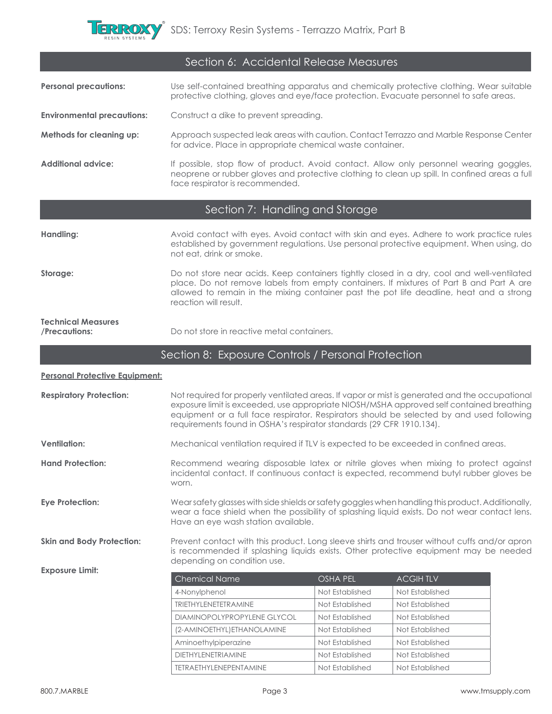

|                                            | Section 6: Accidental Release Measures                                                                                                                                                                                                                                                                                                                          |                                    |                                    |  |
|--------------------------------------------|-----------------------------------------------------------------------------------------------------------------------------------------------------------------------------------------------------------------------------------------------------------------------------------------------------------------------------------------------------------------|------------------------------------|------------------------------------|--|
| <b>Personal precautions:</b>               | Use self-contained breathing apparatus and chemically protective clothing. Wear suitable<br>protective clothing, gloves and eye/face protection. Evacuate personnel to safe areas.                                                                                                                                                                              |                                    |                                    |  |
| <b>Environmental precautions:</b>          | Construct a dike to prevent spreading.                                                                                                                                                                                                                                                                                                                          |                                    |                                    |  |
| Methods for cleaning up:                   | Approach suspected leak areas with caution. Contact Terrazzo and Marble Response Center<br>for advice. Place in appropriate chemical waste container.                                                                                                                                                                                                           |                                    |                                    |  |
| <b>Additional advice:</b>                  | If possible, stop flow of product. Avoid contact. Allow only personnel wearing goggles,<br>neoprene or rubber gloves and protective clothing to clean up spill. In confined areas a full<br>face respirator is recommended.                                                                                                                                     |                                    |                                    |  |
|                                            | Section 7: Handling and Storage                                                                                                                                                                                                                                                                                                                                 |                                    |                                    |  |
| Handling:                                  | Avoid contact with eyes. Avoid contact with skin and eyes. Adhere to work practice rules<br>established by government regulations. Use personal protective equipment. When using, do<br>not eat, drink or smoke.                                                                                                                                                |                                    |                                    |  |
| Storage:                                   | Do not store near acids. Keep containers tightly closed in a dry, cool and well-ventilated<br>place. Do not remove labels from empty containers. If mixtures of Part B and Part A are<br>allowed to remain in the mixing container past the pot life deadline, heat and a strong<br>reaction will result.                                                       |                                    |                                    |  |
| <b>Technical Measures</b><br>/Precautions: | Do not store in reactive metal containers.                                                                                                                                                                                                                                                                                                                      |                                    |                                    |  |
|                                            | Section 8: Exposure Controls / Personal Protection                                                                                                                                                                                                                                                                                                              |                                    |                                    |  |
| <b>Personal Protective Equipment:</b>      |                                                                                                                                                                                                                                                                                                                                                                 |                                    |                                    |  |
| <b>Respiratory Protection:</b>             | Not required for properly ventilated areas. If vapor or mist is generated and the occupational<br>exposure limit is exceeded, use appropriate NIOSH/MSHA approved self contained breathing<br>equipment or a full face respirator. Respirators should be selected by and used following<br>requirements found in OSHA's respirator standards (29 CFR 1910.134). |                                    |                                    |  |
| <b>Ventilation:</b>                        | Mechanical ventilation required if TLV is expected to be exceeded in confined areas.                                                                                                                                                                                                                                                                            |                                    |                                    |  |
| <b>Hand Protection:</b>                    | Recommend wearing disposable latex or nitrile gloves when mixing to protect against<br>incidental contact. If continuous contact is expected, recommend butyl rubber gloves be<br>worn.                                                                                                                                                                         |                                    |                                    |  |
| <b>Eye Protection:</b>                     | Wearsafety glasses with side shields or safety goggles when handling this product. Additionally,<br>wear a face shield when the possibility of splashing liquid exists. Do not wear contact lens.<br>Have an eye wash station available.                                                                                                                        |                                    |                                    |  |
|                                            |                                                                                                                                                                                                                                                                                                                                                                 |                                    |                                    |  |
| <b>Skin and Body Protection:</b>           | Prevent contact with this product. Long sleeve shirts and trouser without cuffs and/or apron<br>is recommended if splashing liquids exists. Other protective equipment may be needed                                                                                                                                                                            |                                    |                                    |  |
| <b>Exposure Limit:</b>                     | depending on condition use.                                                                                                                                                                                                                                                                                                                                     |                                    |                                    |  |
|                                            | <b>Chemical Name</b>                                                                                                                                                                                                                                                                                                                                            | <b>OSHA PEL</b>                    | <b>ACGIHTLV</b>                    |  |
|                                            | 4-Nonylphenol                                                                                                                                                                                                                                                                                                                                                   | Not Established                    | Not Established                    |  |
|                                            | <b>TRIETHYLENETETRAMINE</b>                                                                                                                                                                                                                                                                                                                                     | Not Established                    | Not Established                    |  |
|                                            | DIAMINOPOLYPROPYLENE GLYCOL<br>(2-AMINOETHYL) ETHANOLAMINE                                                                                                                                                                                                                                                                                                      | Not Established<br>Not Established | Not Established<br>Not Established |  |

DIETHYLENETRIAMINE Not Established Not Established TETRAETHYLENEPENTAMINE Not Established Not Established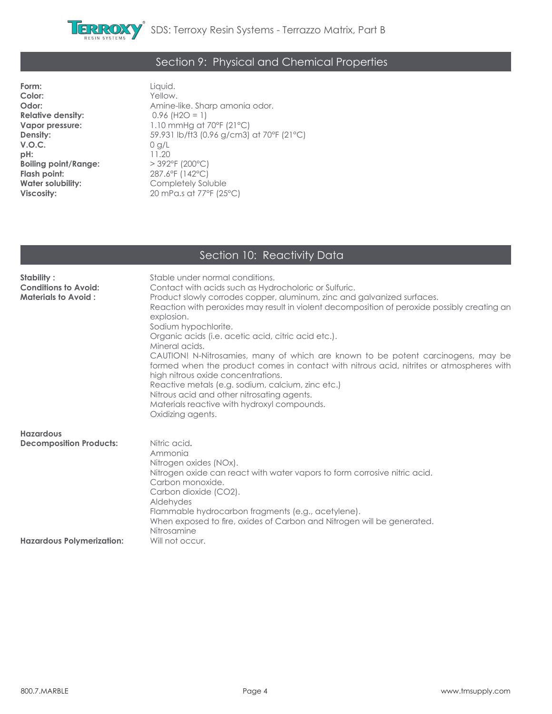

### Section 9: Physical and Chemical Properties

**Form:** Liquid. **Color:** Yellow.<br> **Odor:** Amine-**Relative density:**<br>Vapor pressure: **V.O.C.** 0 g/L **pH:**  $11.20$ <br>**Boiling point/Range:**  $> 392^{\circ}$ F (200°C) **Boiling point/Range:**<br>Flash point: **Flash point:** 287.6°F (142°C)<br> **Water solubility:** Completely Sol **Water solubility:**  $\begin{array}{ccc} \textbf{Completely} & \textbf{Soluble} \\ \textbf{Viscosity:} & 20 \text{ mPa.s at } 77\text{°F (25)} \end{array}$ 

Amine-like. Sharp amonia odor.<br>0.96 (H2O = 1) **Vapor pressure: 1.10 mmHg at 70°F (21°C)**<br>**Density:** 59.931 lb/ft3 (0.96 g/cm3) **Density:** 59.931 lb/ft3 (0.96 g/cm3) at 70°F (21°C) **Viscosity:** 20 mPa.s at 77°F (25°C)

## Section 10: Reactivity Data

| Stability:<br><b>Conditions to Avoid:</b><br><b>Materials to Avoid:</b>                | Stable under normal conditions.<br>Contact with acids such as Hydrocholoric or Sulfuric.<br>Product slowly corrodes copper, aluminum, zinc and galvanized surfaces.<br>Reaction with peroxides may result in violent decomposition of peroxide possibly creating an<br>explosion.<br>Sodium hypochlorite.<br>Organic acids (i.e. acetic acid, citric acid etc.).<br>Mineral acids.<br>CAUTION! N-Nitrosamies, many of which are known to be potent carcinogens, may be<br>formed when the product comes in contact with nitrous acid, nitrites or atmospheres with<br>high nitrous oxide concentrations.<br>Reactive metals (e.g. sodium, calcium, zinc etc.)<br>Nitrous acid and other nitrosating agents.<br>Materials reactive with hydroxyl compounds.<br>Oxidizing agents. |
|----------------------------------------------------------------------------------------|---------------------------------------------------------------------------------------------------------------------------------------------------------------------------------------------------------------------------------------------------------------------------------------------------------------------------------------------------------------------------------------------------------------------------------------------------------------------------------------------------------------------------------------------------------------------------------------------------------------------------------------------------------------------------------------------------------------------------------------------------------------------------------|
| <b>Hazardous</b><br><b>Decomposition Products:</b><br><b>Hazardous Polymerization:</b> | Nitric acid.<br>Ammonia<br>Nitrogen oxides (NOx).<br>Nitrogen oxide can react with water vapors to form corrosive nitric acid.<br>Carbon monoxide.<br>Carbon dioxide (CO2).<br>Aldehydes<br>Flammable hydrocarbon fragments (e.g., acetylene).<br>When exposed to fire, oxides of Carbon and Nitrogen will be generated.<br>Nitrosamine<br>Will not occur.                                                                                                                                                                                                                                                                                                                                                                                                                      |
|                                                                                        |                                                                                                                                                                                                                                                                                                                                                                                                                                                                                                                                                                                                                                                                                                                                                                                 |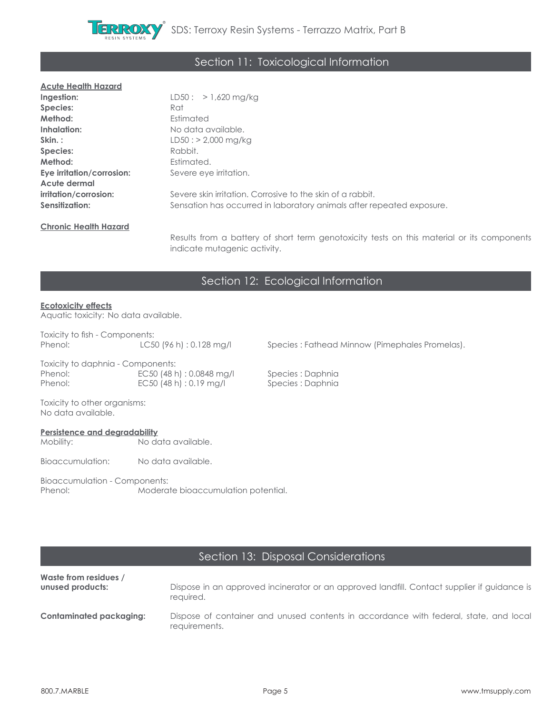

### Section 11: Toxicological Information

#### **Acute Health Hazard**

| Ingestion:                   | $LD50: > 1,620$ mg/kg                                                             |
|------------------------------|-----------------------------------------------------------------------------------|
| Species:                     | Rat                                                                               |
| Method:                      | Estimated                                                                         |
| Inhalation:                  | No data available.                                                                |
| Skin.:                       | $LD50: > 2,000$ mg/kg                                                             |
| Species:                     | Rabbit.                                                                           |
| Method:                      | Estimated.                                                                        |
| Eye irritation/corrosion:    | Severe eye irritation.                                                            |
| Acute dermal                 |                                                                                   |
| irritation/corrosion:        | Severe skin irritation. Corrosive to the skin of a rabbit.                        |
| Sensitization:               | Sensation has occurred in laboratory animals after repeated exposure.             |
| <b>Chronic Health Hazard</b> |                                                                                   |
|                              | Results from a battery of short term genotoxicity tests on this material or its c |

Results from a battery of short term genotoxicity tests on this material or its components indicate mutagenic activity.

### Section 12: Ecological Information

#### **Ecotoxicity effects**

Aquatic toxicity: No data available.

| Toxicity to fish - Components: |                          |
|--------------------------------|--------------------------|
| Phenol:                        | LC50 (96 h) : 0.128 mg/l |

Species: Fathead Minnow (Pimephales Promelas).

Toxicity to daphnia - Components: Phenol: EC50 (48 h) : 0.0848 mg/l Species : Daphnia Phenol: EC50 (48 h) : 0.19 mg/l Species : Daphnia

Toxicity to other organisms: No data available.

#### **Persistence and degradability**

Mobility: No data available.

Bioaccumulation: No data available.

Bioaccumulation - Components:<br>Phenol: Modera Moderate bioaccumulation potential.

### Section 13: Disposal Considerations

| Waste from residues /   | Dispose in an approved incinerator or an approved landfill. Contact supplier if quidance is            |
|-------------------------|--------------------------------------------------------------------------------------------------------|
| unused products:        | required.                                                                                              |
| Contaminated packaging: | Dispose of container and unused contents in accordance with federal, state, and local<br>requirements. |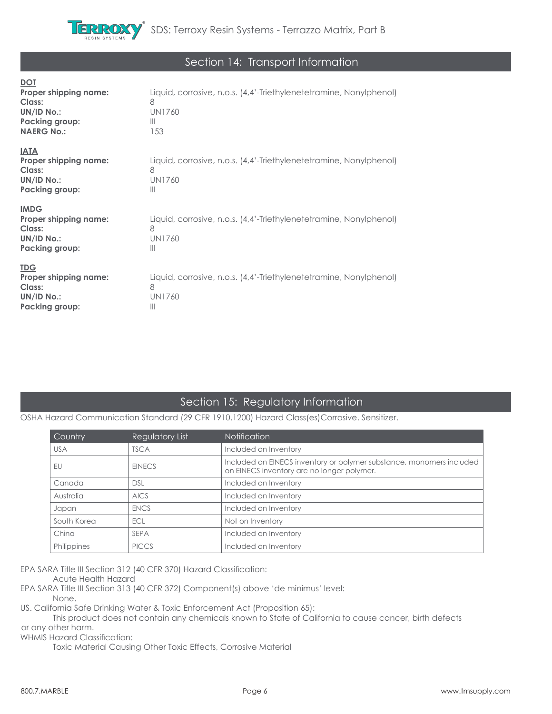

### Section 14: Transport Information

| <u>DOT</u><br>Proper shipping name:<br>Class:<br>UN/ID No.:<br><b>Packing group:</b><br><b>NAERG No.:</b> | Liquid, corrosive, n.o.s. (4,4'-Triethylenetetramine, Nonylphenol)<br>8<br><b>UN1760</b><br>$\mathbb{H}$<br>153 |
|-----------------------------------------------------------------------------------------------------------|-----------------------------------------------------------------------------------------------------------------|
| <b>IATA</b><br>Proper shipping name:<br>Class:<br>UN/ID No.:<br><b>Packing group:</b>                     | Liquid, corrosive, n.o.s. (4,4'-Triethylenetetramine, Nonylphenol)<br>8<br><b>UN1760</b><br>$\mathbf{III}$      |
| <b>IMDG</b><br><b>Proper shipping name:</b><br>Class:<br><b>UN/ID No.:</b><br>Packing group:              | Liquid, corrosive, n.o.s. (4,4'-Triethylenetetramine, Nonylphenol)<br>8<br><b>UN1760</b><br>Ш                   |
| <u>TDG</u><br>Proper shipping name:<br>Class:<br><b>UN/ID No.:</b><br><b>Packing group:</b>               | Liquid, corrosive, n.o.s. (4,4'-Triethylenetetramine, Nonylphenol)<br>8<br>UN1760<br>Ш                          |

### Section 15: Regulatory Information

### OSHA Hazard Communication Standard (29 CFR 1910.1200) Hazard Class(es)Corrosive. Sensitizer.

| Country     | Regulatory List | <b>Notification</b>                                                                                                |
|-------------|-----------------|--------------------------------------------------------------------------------------------------------------------|
| <b>USA</b>  | <b>TSCA</b>     | Included on Inventory                                                                                              |
| EU          | <b>EINECS</b>   | Included on EINECS inventory or polymer substance, monomers included<br>on EINECS inventory are no longer polymer. |
| Canada      | <b>DSL</b>      | Included on Inventory                                                                                              |
| Australia   | <b>AICS</b>     | Included on Inventory                                                                                              |
| Japan       | <b>ENCS</b>     | Included on Inventory                                                                                              |
| South Korea | ECL             | Not on Inventory                                                                                                   |
| China       | <b>SEPA</b>     | Included on Inventory                                                                                              |
| Philippines | <b>PICCS</b>    | Included on Inventory                                                                                              |

EPA SARA Title III Section 312 (40 CFR 370) Hazard Classification:

Acute Health Hazard

EPA SARA Title III Section 313 (40 CFR 372) Component(s) above 'de minimus' level:

None.

US. California Safe Drinking Water & Toxic Enforcement Act (Proposition 65):

 This product does not contain any chemicals known to State of California to cause cancer, birth defects or any other harm.

WHMIS Hazard Classification:

Toxic Material Causing Other Toxic Effects, Corrosive Material